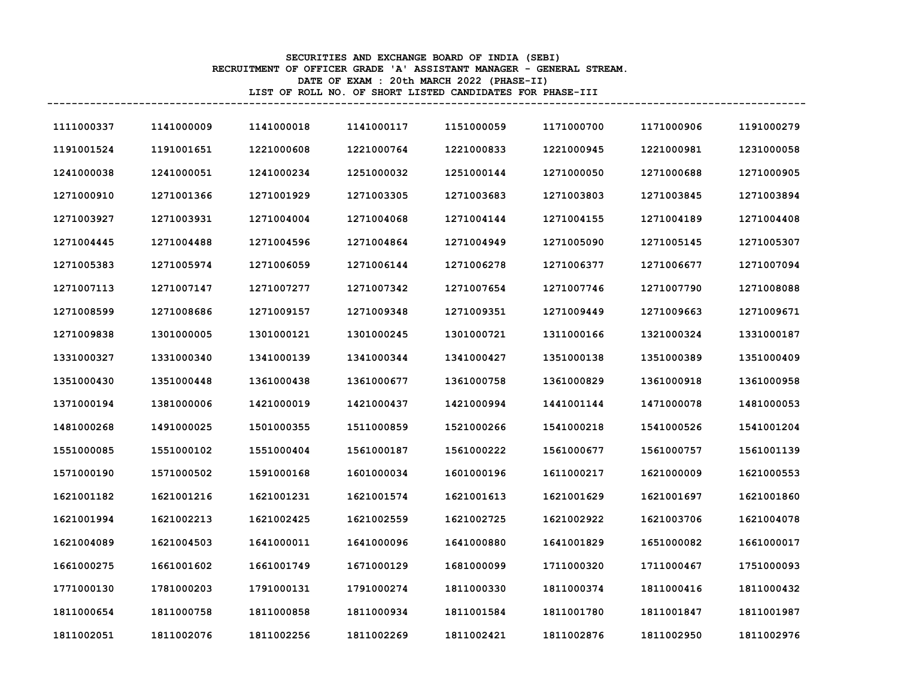## **SECURITIES AND EXCHANGE BOARD OF INDIA (SEBI) RECRUITMENT OF OFFICER GRADE 'A' ASSISTANT MANAGER - GENERAL STREAM. DATE OF EXAM : 20th MARCH 2022 (PHASE-II) LIST OF ROLL NO. OF SHORT LISTED CANDIDATES FOR PHASE-III ----------------------------------------------------------------------------------------------------------------------------**

| 1111000337 | 1141000009 | 1141000018 | 1141000117 | 1151000059 | 1171000700 | 1171000906 | 1191000279 |
|------------|------------|------------|------------|------------|------------|------------|------------|
| 1191001524 | 1191001651 | 1221000608 | 1221000764 | 1221000833 | 1221000945 | 1221000981 | 1231000058 |
| 1241000038 | 1241000051 | 1241000234 | 1251000032 | 1251000144 | 1271000050 | 1271000688 | 1271000905 |
| 1271000910 | 1271001366 | 1271001929 | 1271003305 | 1271003683 | 1271003803 | 1271003845 | 1271003894 |
| 1271003927 | 1271003931 | 1271004004 | 1271004068 | 1271004144 | 1271004155 | 1271004189 | 1271004408 |
| 1271004445 | 1271004488 | 1271004596 | 1271004864 | 1271004949 | 1271005090 | 1271005145 | 1271005307 |
| 1271005383 | 1271005974 | 1271006059 | 1271006144 | 1271006278 | 1271006377 | 1271006677 | 1271007094 |
| 1271007113 | 1271007147 | 1271007277 | 1271007342 | 1271007654 | 1271007746 | 1271007790 | 1271008088 |
| 1271008599 | 1271008686 | 1271009157 | 1271009348 | 1271009351 | 1271009449 | 1271009663 | 1271009671 |
| 1271009838 | 1301000005 | 1301000121 | 1301000245 | 1301000721 | 1311000166 | 1321000324 | 1331000187 |
| 1331000327 | 1331000340 | 1341000139 | 1341000344 | 1341000427 | 1351000138 | 1351000389 | 1351000409 |
| 1351000430 | 1351000448 | 1361000438 | 1361000677 | 1361000758 | 1361000829 | 1361000918 | 1361000958 |
| 1371000194 | 1381000006 | 1421000019 | 1421000437 | 1421000994 | 1441001144 | 1471000078 | 1481000053 |
| 1481000268 | 1491000025 | 1501000355 | 1511000859 | 1521000266 | 1541000218 | 1541000526 | 1541001204 |
| 1551000085 | 1551000102 | 1551000404 | 1561000187 | 1561000222 | 1561000677 | 1561000757 | 1561001139 |
| 1571000190 | 1571000502 | 1591000168 | 1601000034 | 1601000196 | 1611000217 | 1621000009 | 1621000553 |
| 1621001182 | 1621001216 | 1621001231 | 1621001574 | 1621001613 | 1621001629 | 1621001697 | 1621001860 |
| 1621001994 | 1621002213 | 1621002425 | 1621002559 | 1621002725 | 1621002922 | 1621003706 | 1621004078 |
| 1621004089 | 1621004503 | 1641000011 | 1641000096 | 1641000880 | 1641001829 | 1651000082 | 1661000017 |
| 1661000275 | 1661001602 | 1661001749 | 1671000129 | 1681000099 | 1711000320 | 1711000467 | 1751000093 |
| 1771000130 | 1781000203 | 1791000131 | 1791000274 | 1811000330 | 1811000374 | 1811000416 | 1811000432 |
| 1811000654 | 1811000758 | 1811000858 | 1811000934 | 1811001584 | 1811001780 | 1811001847 | 1811001987 |
| 1811002051 | 1811002076 | 1811002256 | 1811002269 | 1811002421 | 1811002876 | 1811002950 | 1811002976 |